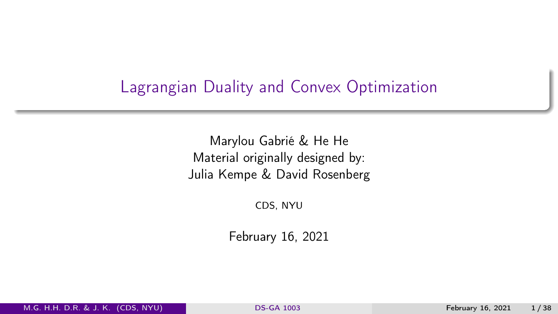### <span id="page-0-0"></span>Lagrangian Duality and Convex Optimization

Marylou Gabrié & He He Material originally designed by: Julia Kempe & David Rosenberg

CDS, NYU

February 16, 2021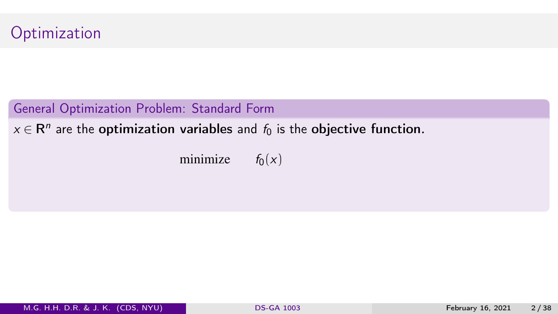

 $x \in \mathsf{R}^n$  are the optimization variables and  $f_0$  is the objective function.

minimize  $f_0(x)$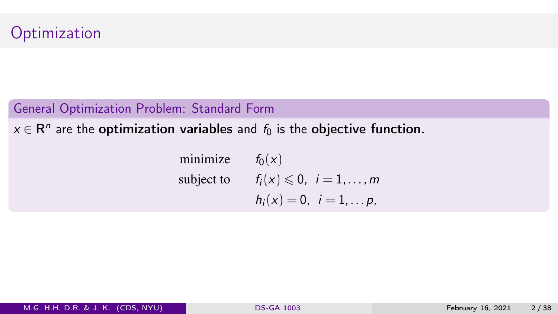$x \in \mathsf{R}^n$  are the optimization variables and  $f_0$  is the objective function.

minimize  $f_0(x)$ subject to  $f_i(x) \leq 0$ ,  $i = 1, \ldots, m$  $h_i(x) = 0, i = 1,..., p$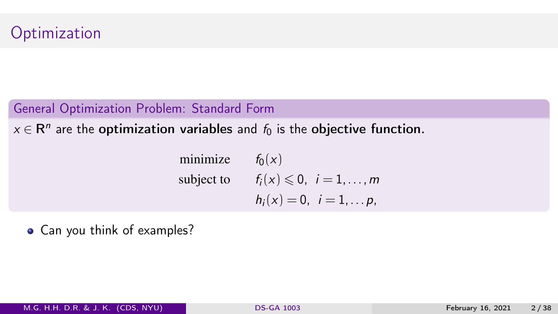$x \in \mathsf{R}^n$  are the optimization variables and  $f_0$  is the objective function.

minimize  $f_0(x)$ subject to  $f_i(x) \leq 0$ ,  $i = 1, \ldots, m$  $h_i(x) = 0, i = 1,..., p$ 

• Can you think of examples?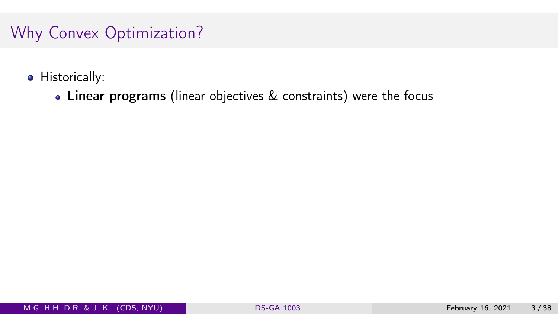- **•** Historically:
	- Linear programs (linear objectives & constraints) were the focus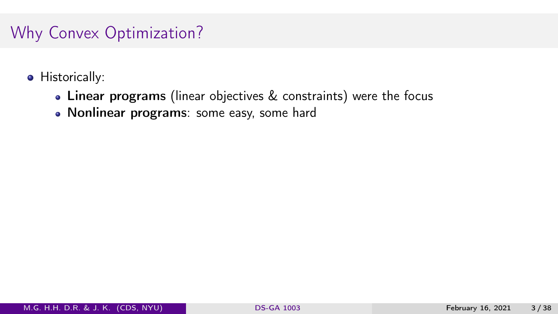- **o** Historically:
	- Linear programs (linear objectives & constraints) were the focus
	- Nonlinear programs: some easy, some hard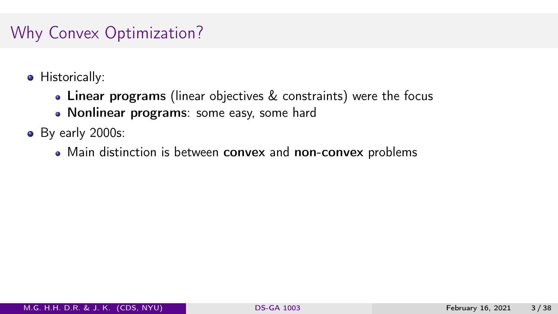- **o** Historically:
	- Linear programs (linear objectives & constraints) were the focus
	- Nonlinear programs: some easy, some hard
- By early 2000s:
	- Main distinction is between convex and non-convex problems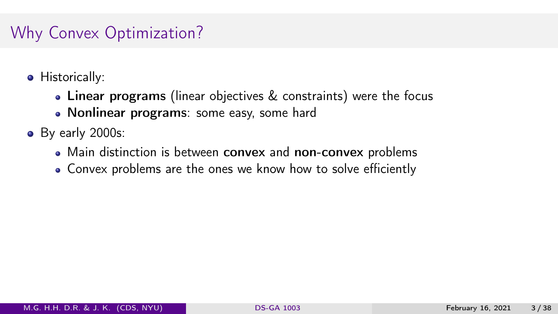- **•** Historically:
	- Linear programs (linear objectives & constraints) were the focus
	- Nonlinear programs: some easy, some hard
- By early 2000s:
	- Main distinction is between convex and non-convex problems
	- Convex problems are the ones we know how to solve efficiently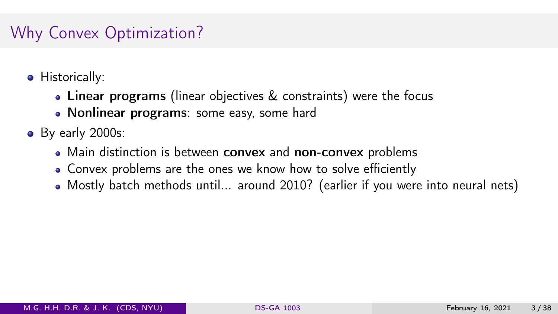- **•** Historically:
	- Linear programs (linear objectives & constraints) were the focus
	- Nonlinear programs: some easy, some hard
- By early 2000s:
	- Main distinction is between convex and non-convex problems
	- Convex problems are the ones we know how to solve efficiently
	- Mostly batch methods until... around 2010? (earlier if you were into neural nets)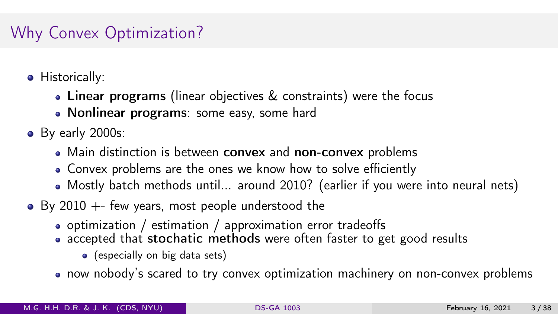- **•** Historically:
	- Linear programs (linear objectives & constraints) were the focus
	- Nonlinear programs: some easy, some hard
- By early 2000s:
	- Main distinction is between convex and non-convex problems
	- Convex problems are the ones we know how to solve efficiently
	- Mostly batch methods until... around 2010? (earlier if you were into neural nets)
- $\bullet$  By 2010 +- few years, most people understood the
	- optimization / estimation / approximation error tradeoffs
	- accepted that stochatic methods were often faster to get good results
		- (especially on big data sets)
	- now nobody's scared to try convex optimization machinery on non-convex problems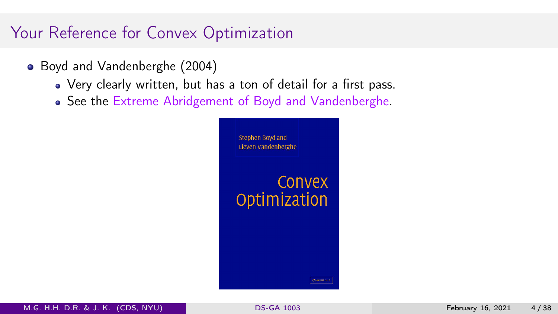# Your Reference for Convex Optimization

- Boyd and Vandenberghe (2004)
	- Very clearly written, but has a ton of detail for a first pass.
	- See the [Extreme Abridgement of Boyd and Vandenberghe.](https://davidrosenberg.github.io/mlcourse/Notes/convex-optimization.pdf)

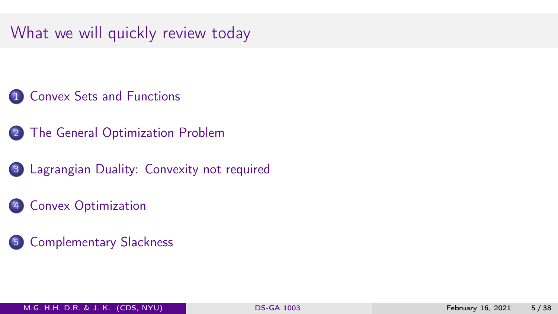# What we will quickly review today

- [Convex Sets and Functions](#page-12-0)
- [The General Optimization Problem](#page-24-0)
- [Lagrangian Duality: Convexity not required](#page-37-0)
- [Convex Optimization](#page-68-0)
- [Complementary Slackness](#page-76-0)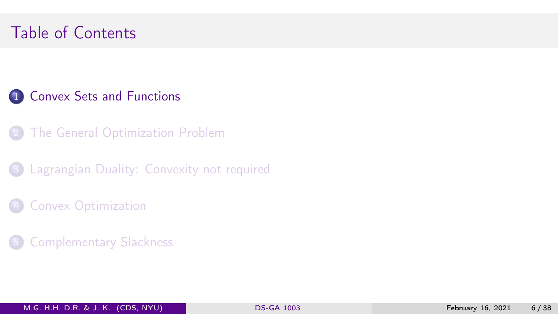# <span id="page-12-0"></span>Table of Contents

### 1 [Convex Sets and Functions](#page-12-0)

- **[The General Optimization Problem](#page-24-0)**
- **3** [Lagrangian Duality: Convexity not required](#page-37-0)
- **[Convex Optimization](#page-68-0)**
- **[Complementary Slackness](#page-76-0)**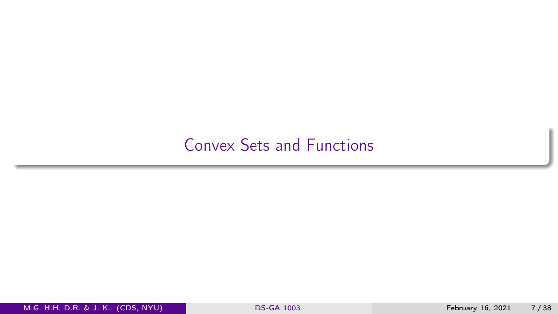### [Convex Sets and Functions](#page-12-0)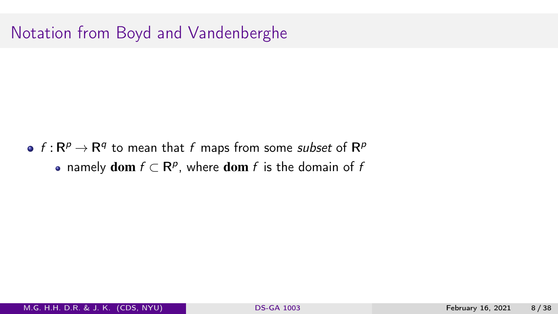### Notation from Boyd and Vandenberghe

 $f: \mathsf{R}^p \rightarrow \mathsf{R}^q$  to mean that  $f$  maps from some *subset* of  $\mathsf{R}^p$ namely  $\textbf{dom} f \subset \mathsf{R}^p$ , where  $\textbf{dom} f$  is the domain of  $f$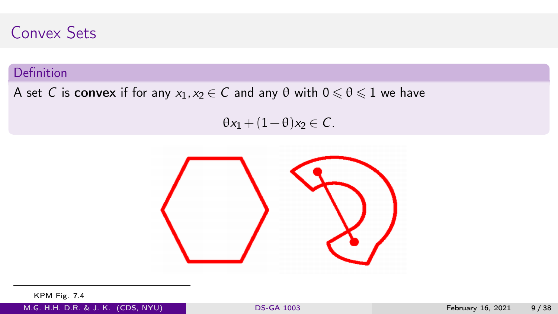### Convex Sets

### Definition

#### A set C is convex if for any  $x_1, x_2 \in C$  and any  $\theta$  with  $0 \le \theta \le 1$  we have

 $\theta x_1 + (1-\theta)x_2 \in \mathcal{C}$ .



KPM Fig. 7.4

M.G. H.H. D.R. & J. K. (CDS, NYU) [DS-GA 1003](#page-0-0) February 16, 2021 9 / 38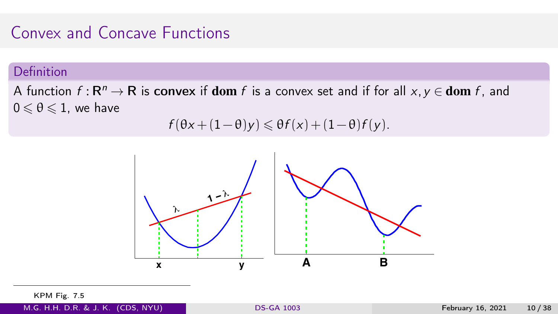### Convex and Concave Functions

#### Definition

A function  $f: \mathbf{R}^n \to \mathbf{R}$  is convex if  $\mathbf{dom}\ f$  is a convex set and if for all  $x, y \in \mathbf{dom}\ f$ , and  $0 \le \theta \le 1$ , we have

$$
f(\theta x + (1-\theta)y) \leq \theta f(x) + (1-\theta)f(y).
$$



KPM Fig. 7.5

M.G. H.H. D.R. & J. K. (CDS, NYU) [DS-GA 1003](#page-0-0) February 16, 2021 10 / 38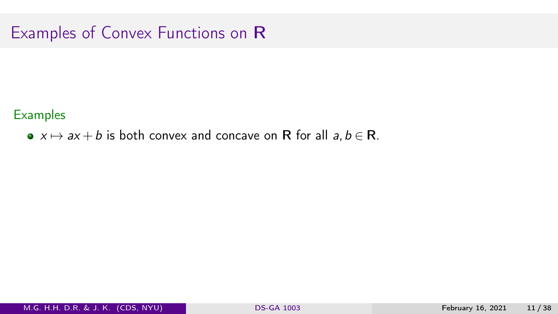**Examples** 

•  $x \mapsto ax + b$  is both convex and concave on R for all  $a, b \in \mathbb{R}$ .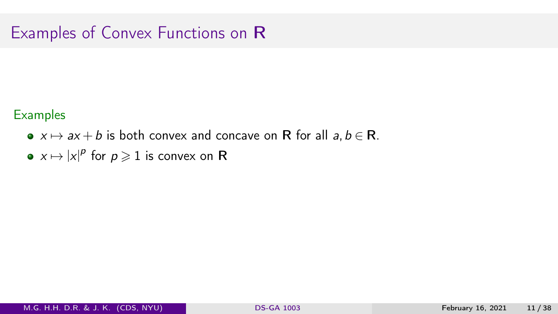- $x \mapsto ax + b$  is both convex and concave on R for all  $a, b \in \mathbb{R}$ .
- $x \mapsto |x|^p$  for  $p \geqslant 1$  is convex on  ${\sf R}$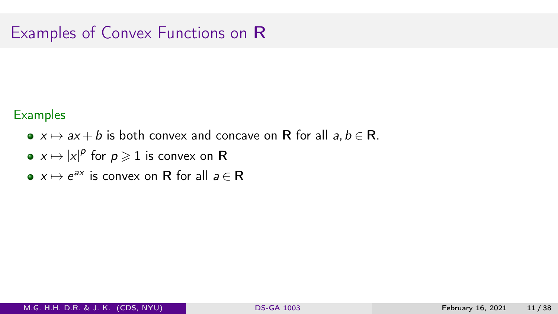- $x \mapsto ax + b$  is both convex and concave on R for all  $a, b \in \mathbb{R}$ .
- $x \mapsto |x|^p$  for  $p \geqslant 1$  is convex on  ${\sf R}$
- $x \mapsto e^{ax}$  is convex on R for all  $a \in \mathbb{R}$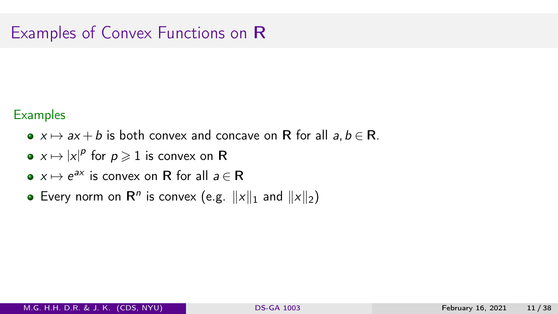- $x \mapsto ax + b$  is both convex and concave on R for all  $a, b \in \mathbb{R}$ .
- $x \mapsto |x|^p$  for  $p \geqslant 1$  is convex on  ${\sf R}$
- $x \mapsto e^{ax}$  is convex on R for all  $a \in \mathbb{R}$
- Every norm on  $\mathsf{R}^n$  is convex (e.g.  $||x||_1$  and  $||x||_2$ )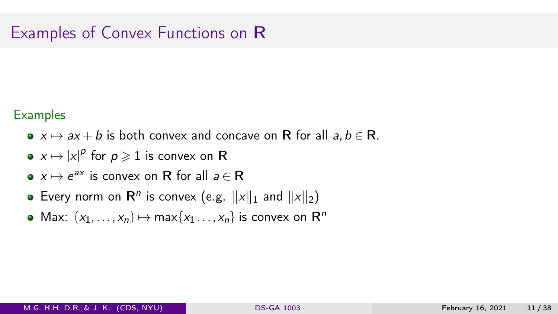- $x \mapsto ax + b$  is both convex and concave on R for all  $a, b \in \mathbb{R}$ .
- $x \mapsto |x|^p$  for  $p \geqslant 1$  is convex on  ${\sf R}$
- $x \mapsto e^{ax}$  is convex on R for all  $a \in \mathbb{R}$
- Every norm on  $\mathsf{R}^n$  is convex (e.g.  $||x||_1$  and  $||x||_2$ )
- Max:  $(x_1, \ldots, x_n) \mapsto \max\{x_1 \ldots, x_n\}$  is convex on  $\mathbb{R}^n$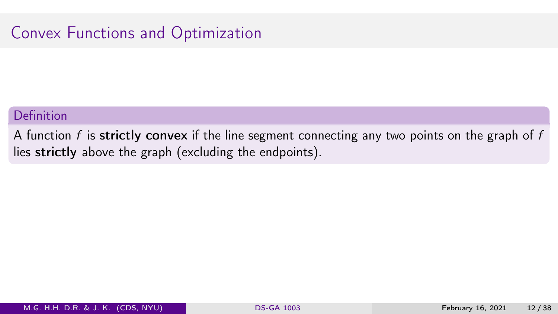### Convex Functions and Optimization

#### Definition

A function f is strictly convex if the line segment connecting any two points on the graph of f lies strictly above the graph (excluding the endpoints).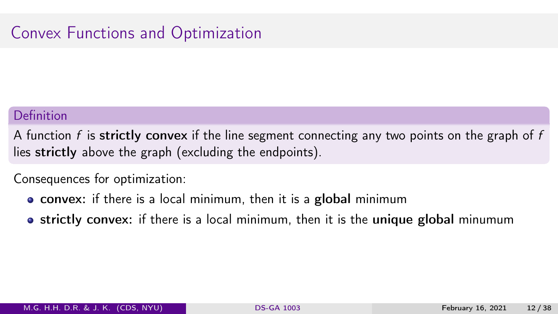### Convex Functions and Optimization

#### Definition

A function f is strictly convex if the line segment connecting any two points on the graph of f lies strictly above the graph (excluding the endpoints).

Consequences for optimization:

- convex: if there is a local minimum, then it is a global minimum
- strictly convex: if there is a local minimum, then it is the unique global minumum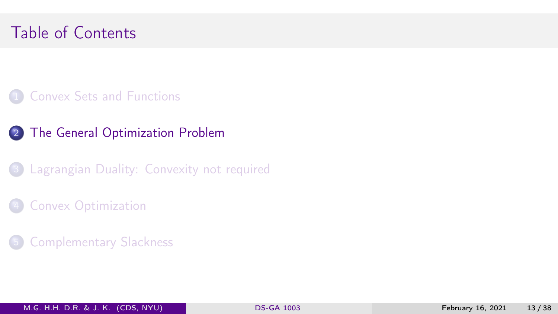# <span id="page-24-0"></span>Table of Contents

- **1 [Convex Sets and Functions](#page-12-0)**
- 2 [The General Optimization Problem](#page-24-0)
- 3 [Lagrangian Duality: Convexity not required](#page-37-0)
- **[Convex Optimization](#page-68-0)**
- **[Complementary Slackness](#page-76-0)**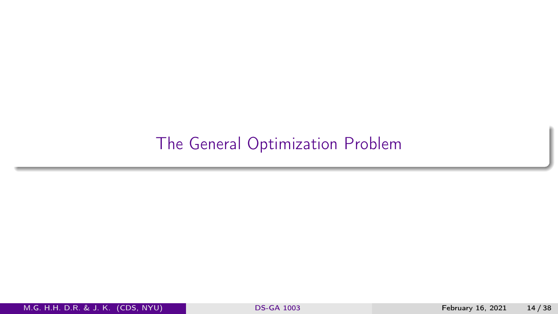# [The General Optimization Problem](#page-24-0)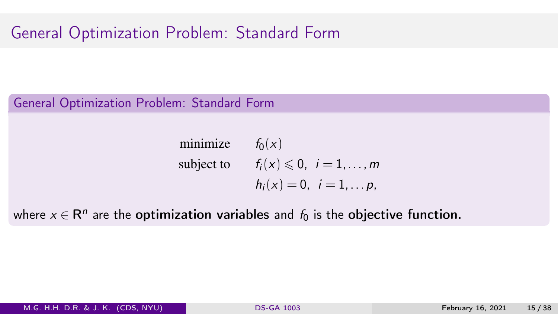General Optimization Problem: Standard Form

minimize 
$$
f_0(x)
$$
  
subject to  $f_i(x) \le 0, i = 1,..., m$   
 $h_i(x) = 0, i = 1,..., p,$ 

where  $x \in \mathsf{R}^n$  are the <mark>optimization variables</mark> and  $f_0$  is the <mark>objective function.</mark>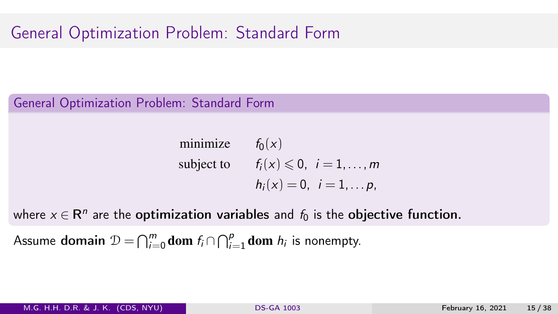General Optimization Problem: Standard Form

minimize 
$$
f_0(x)
$$
  
subject to  $f_i(x) \le 0, i = 1,..., m$   
 $h_i(x) = 0, i = 1,..., p$ ,

where  $x \in \mathsf{R}^n$  are the <mark>optimization variables</mark> and  $f_0$  is the <mark>objective function.</mark>

Assume domain  $\mathcal{D} = \bigcap_{i=0}^m \textbf{dom} \; f_i \cap \bigcap_{i=1}^p \textbf{dom} \; h_i$  is nonempty.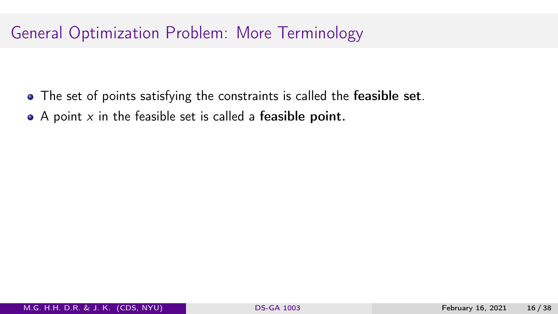- The set of points satisfying the constraints is called the feasible set.
- $\bullet$  A point x in the feasible set is called a feasible point.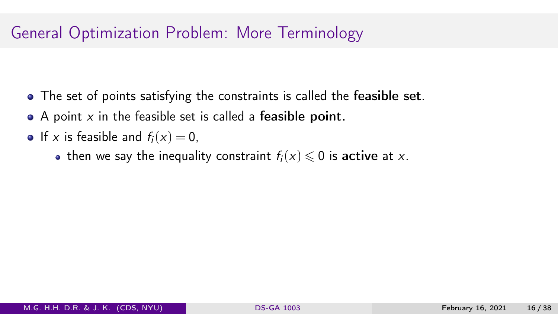- The set of points satisfying the constraints is called the feasible set.
- $\bullet$  A point x in the feasible set is called a feasible point.
- If x is feasible and  $f_i(x) = 0$ ,
	- then we say the inequality constraint  $f_i(x) \leq 0$  is active at x.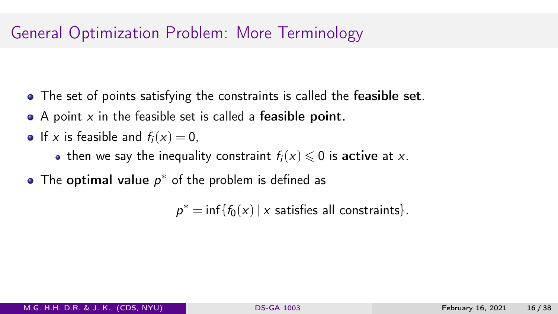- The set of points satisfying the constraints is called the **feasible set**.
- $\bullet$  A point x in the feasible set is called a feasible point.
- If x is feasible and  $f_i(x) = 0$ ,
	- then we say the inequality constraint  $f_i(x) \leq 0$  is active at x.
- The  $optimal$  value  $p^*$  of the problem is defined as

 $p^* = \inf \{ f_0(x) \mid x \text{ satisfies all constraints} \}.$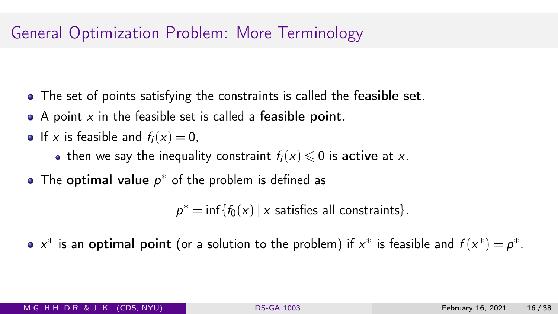- The set of points satisfying the constraints is called the **feasible set**.
- $\bullet$  A point x in the feasible set is called a feasible point.
- If x is feasible and  $f_i(x) = 0$ ,
	- then we say the inequality constraint  $f_i(x) \leq 0$  is active at x.
- The  $optimal$  value  $p^*$  of the problem is defined as

 $p^* = \inf \{ f_0(x) \mid x \text{ satisfies all constraints} \}.$ 

x\* is an optimal point (or a solution to the problem) if  $x^*$  is feasible and  $f(x^*) = p^*$ .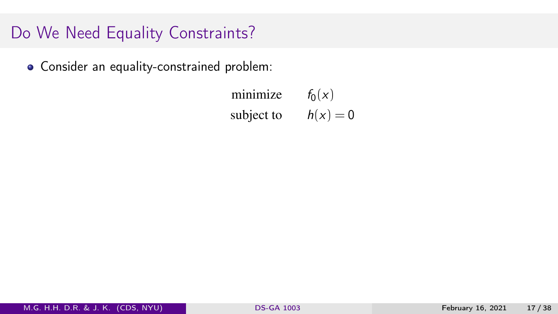Consider an equality-constrained problem:

minimize  $f_0(x)$ subject to  $h(x) = 0$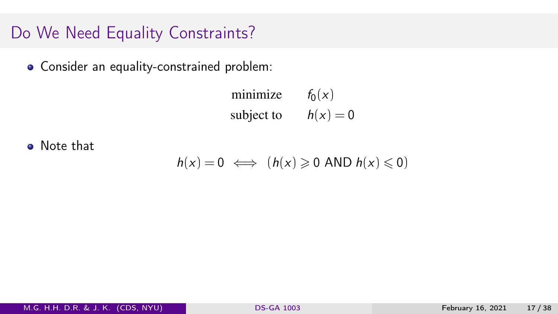Consider an equality-constrained problem:

minimize  $f_0(x)$ subject to  $h(x) = 0$ 

**o** Note that

 $h(x) = 0 \iff (h(x) \geq 0 \text{ AND } h(x) \leq 0)$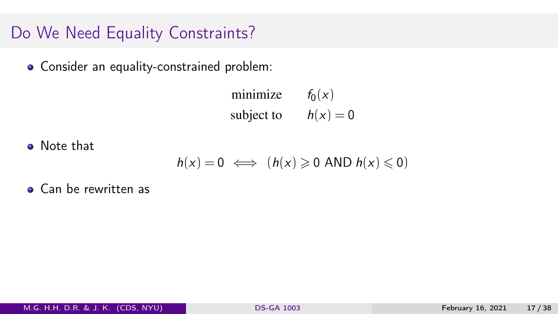Consider an equality-constrained problem:

minimize  $f_0(x)$ subject to  $h(x) = 0$ 

**o** Note that

$$
h(x) = 0 \iff (h(x) \geq 0 \text{ AND } h(x) \leq 0)
$$

**• Can be rewritten as**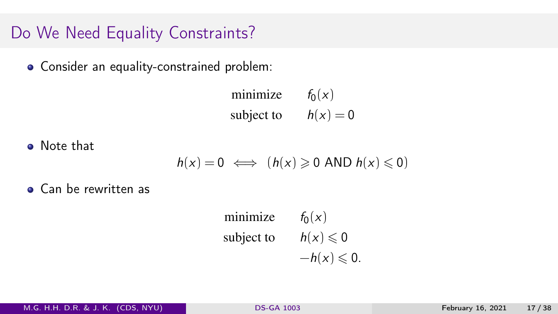Consider an equality-constrained problem:

minimize  $f_0(x)$ subject to  $h(x) = 0$ 

**o** Note that

$$
h(x) = 0 \iff (h(x) \geq 0 \text{ AND } h(x) \leq 0)
$$

**• Can be rewritten as** 

minimize 
$$
f_0(x)
$$
  
subject to  $h(x) \le 0$   
 $-h(x) \le 0$ .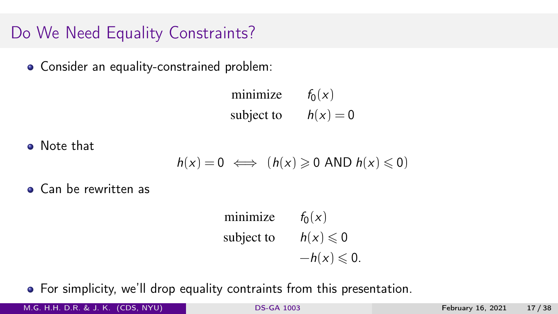# Do We Need Equality Constraints?

Consider an equality-constrained problem:

minimize  $f_0(x)$ subject to  $h(x) = 0$ 

Note that

$$
h(x) = 0 \iff (h(x) \geq 0 \text{ AND } h(x) \leq 0)
$$

• Can be rewritten as

minimize  $f_0(x)$ subject to  $h(x) \le 0$  $-h(x) \leqslant 0.$ 

For simplicity, we'll drop equality contraints from this presentation.

M.G. H.H. D.R. & J. K. (CDS, NYU) [DS-GA 1003](#page-0-0) February 16, 2021 17 / 38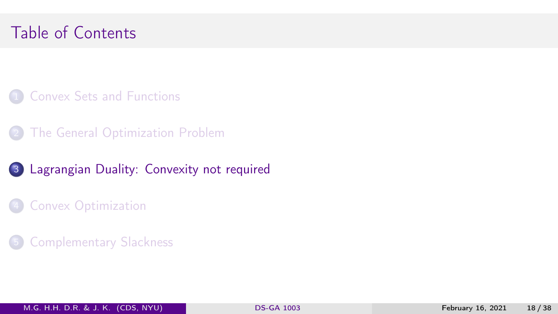# <span id="page-37-0"></span>Table of Contents

- **1 [Convex Sets and Functions](#page-12-0)**
- **[The General Optimization Problem](#page-24-0)**
- 3 [Lagrangian Duality: Convexity not required](#page-37-0)
- **[Convex Optimization](#page-68-0)**
- 5 [Complementary Slackness](#page-76-0)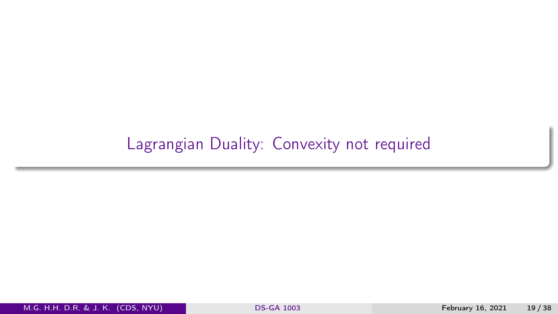# [Lagrangian Duality: Convexity not required](#page-37-0)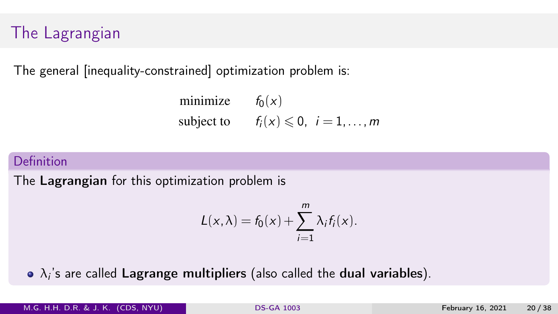# The Lagrangian

The general [inequality-constrained] optimization problem is:

minimize 
$$
f_0(x)
$$
  
subject to  $f_i(x) \le 0, i = 1,...,m$ 

### Definition

The Lagrangian for this optimization problem is

$$
L(x,\lambda) = f_0(x) + \sum_{i=1}^m \lambda_i f_i(x).
$$

 $\lambda_i$ 's are called  $\sf Lagrange$  multipliers (also called the  $\sf dual$  variables).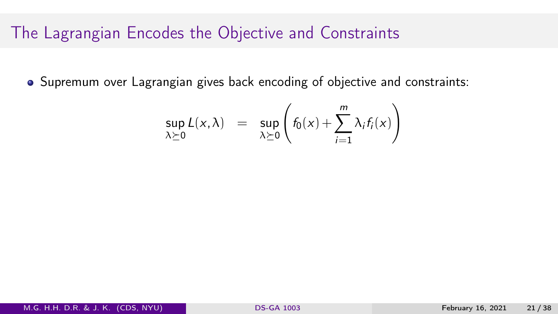### The Lagrangian Encodes the Objective and Constraints

Supremum over Lagrangian gives back encoding of objective and constraints:

$$
\sup_{\lambda \succeq 0} L(x, \lambda) = \sup_{\lambda \succeq 0} \left( f_0(x) + \sum_{i=1}^m \lambda_i f_i(x) \right)
$$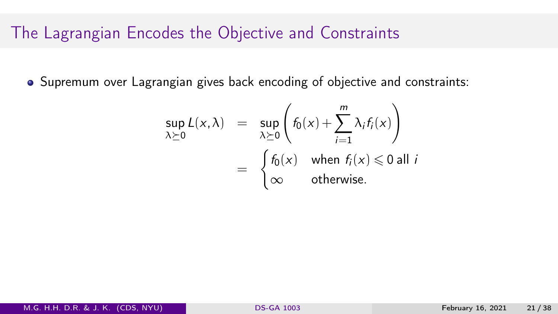### The Lagrangian Encodes the Objective and Constraints

Supremum over Lagrangian gives back encoding of objective and constraints:

$$
\sup_{\lambda \succeq 0} L(x, \lambda) = \sup_{\lambda \succeq 0} \left( f_0(x) + \sum_{i=1}^m \lambda_i f_i(x) \right)
$$
  
= 
$$
\begin{cases} f_0(x) & \text{when } f_i(x) \le 0 \text{ all } i \\ \infty & \text{otherwise.} \end{cases}
$$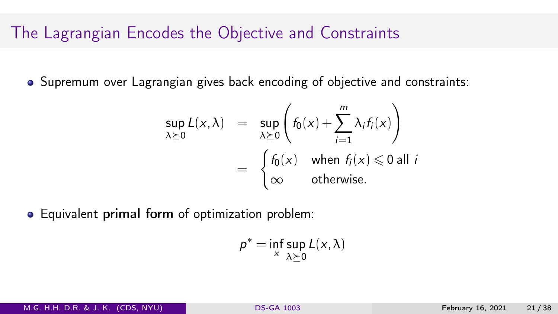### The Lagrangian Encodes the Objective and Constraints

• Supremum over Lagrangian gives back encoding of objective and constraints:

$$
\sup_{\lambda \succeq 0} L(x, \lambda) = \sup_{\lambda \succeq 0} \left( f_0(x) + \sum_{i=1}^m \lambda_i f_i(x) \right)
$$
  
= 
$$
\begin{cases} f_0(x) & \text{when } f_i(x) \le 0 \text{ all } i \\ \infty & \text{otherwise.} \end{cases}
$$

Equivalent primal form of optimization problem:

$$
p^* = \inf_{x} \sup_{\lambda \succeq 0} L(x, \lambda)
$$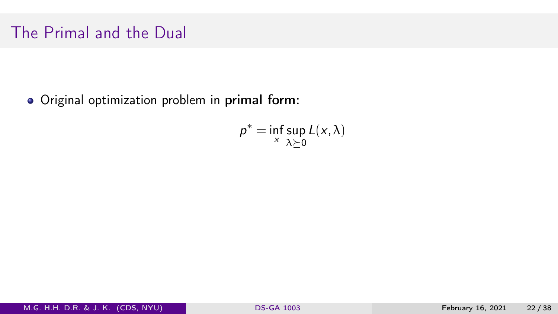# The Primal and the Dual

Original optimization problem in primal form:

$$
p^* = \inf_{x} \sup_{\lambda \succeq 0} L(x, \lambda)
$$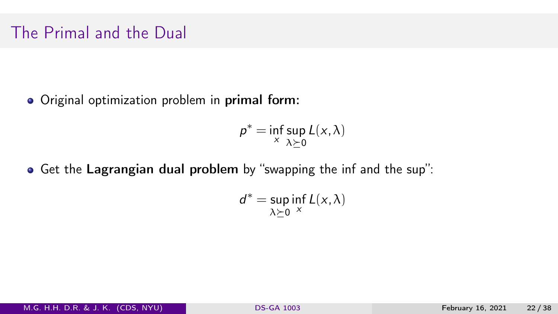# The Primal and the Dual

Original optimization problem in primal form:

$$
p^* = \inf_{x} \sup_{\lambda \succeq 0} L(x, \lambda)
$$

Get the Lagrangian dual problem by "swapping the inf and the sup":

$$
d^* = \sup_{\lambda \succeq 0} \inf_{x} L(x, \lambda)
$$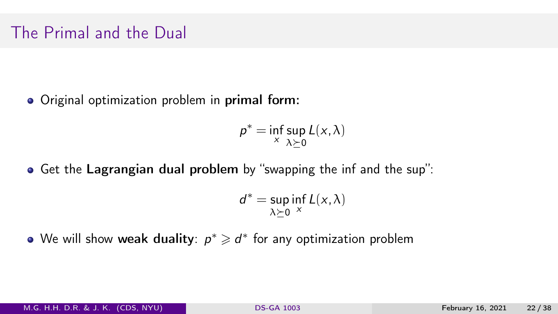# The Primal and the Dual

Original optimization problem in primal form:

$$
p^* = \inf_{x} \sup_{\lambda \succeq 0} L(x, \lambda)
$$

Get the Lagrangian dual problem by "swapping the inf and the sup":

$$
d^* = \sup_{\lambda \succeq 0} \inf_{x} L(x, \lambda)
$$

We will show <mark>weak duality</mark>:  $p^* \geqslant d^*$  for any optimization problem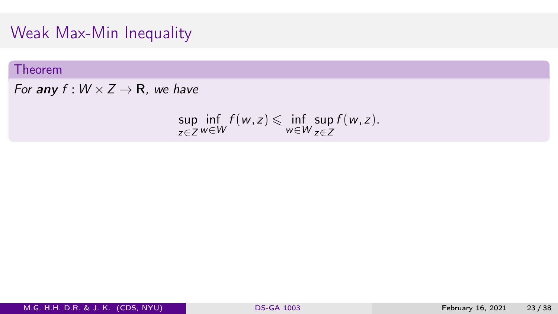### Weak Max-Min Inequality

#### Theorem

For any  $f: W \times Z \rightarrow \mathbb{R}$ , we have

$$
\sup_{z\in Z}\inf_{w\in W}f(w,z)\leqslant \inf_{w\in W}\sup_{z\in Z}f(w,z).
$$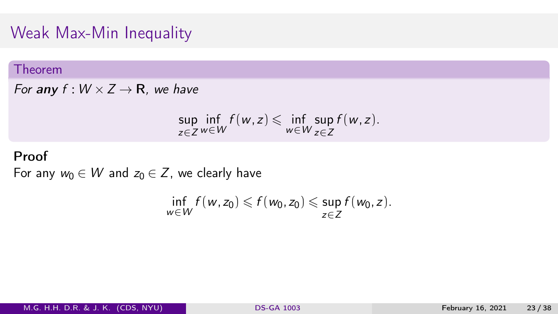# Weak Max-Min Inequality

#### Theorem

For any  $f: W \times Z \rightarrow \mathbb{R}$ , we have

$$
\sup_{z\in Z}\inf_{w\in W}f(w,z)\leqslant \inf_{w\in W}\sup_{z\in Z}f(w,z).
$$

### Proof

For any  $w_0 \in W$  and  $z_0 \in Z$ , we clearly have

$$
\inf_{w\in W} f(w,z_0)\leqslant f(w_0,z_0)\leqslant \sup_{z\in Z} f(w_0,z).
$$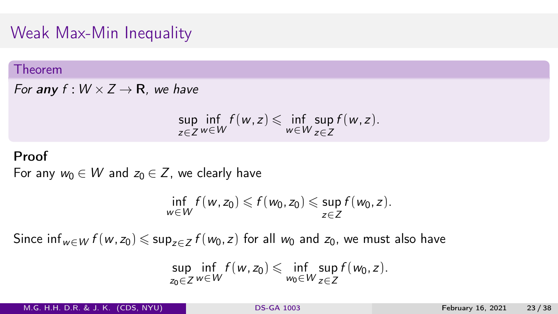# Weak Max-Min Inequality

#### Theorem

For any  $f: W \times Z \rightarrow \mathbb{R}$ , we have

$$
\sup_{z\in Z}\inf_{w\in W}f(w,z)\leqslant \inf_{w\in W}\sup_{z\in Z}f(w,z).
$$

#### Proof

For any  $w_0 \in W$  and  $z_0 \in Z$ , we clearly have

$$
\inf_{w\in W} f(w,z_0)\leqslant f(w_0,z_0)\leqslant \sup_{z\in Z} f(w_0,z).
$$

Since inf<sub>w∈W</sub>  $f(w, z_0) \leqslant \sup_{z \in Z} f(w_0, z)$  for all  $w_0$  and  $z_0$ , we must also have

$$
\sup_{z_0\in Z}\inf_{w\in W}f(w,z_0)\leqslant \inf_{w_0\in W}\sup_{z\in Z}f(w_0,z).
$$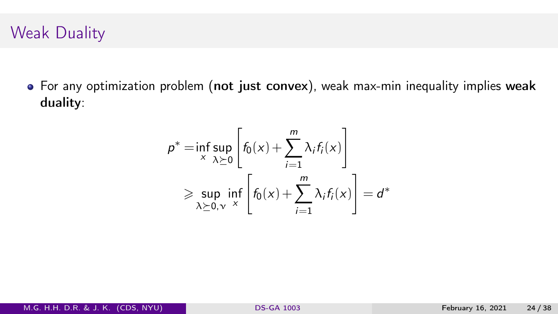# Weak Duality

For any optimization problem (not just convex), weak max-min inequality implies weak duality:

$$
p^* = \inf_{x} \sup_{\lambda \succeq 0} \left[ f_0(x) + \sum_{i=1}^m \lambda_i f_i(x) \right]
$$
  
\n
$$
\geq \sup_{\lambda \succeq 0, v} \inf_{x} \left[ f_0(x) + \sum_{i=1}^m \lambda_i f_i(x) \right] = d^*
$$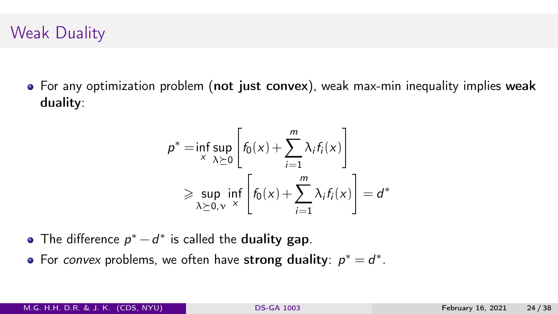# Weak Duality

• For any optimization problem (not just convex), weak max-min inequality implies weak duality:

$$
p^* = \inf_{x} \sup_{\lambda \geq 0} \left[ f_0(x) + \sum_{i=1}^m \lambda_i f_i(x) \right]
$$
  
\n
$$
\geq \sup_{\lambda \geq 0, \nu} \inf_{x} \left[ f_0(x) + \sum_{i=1}^m \lambda_i f_i(x) \right] = d^*
$$

- The difference  $p^* d^*$  is called the duality gap.
- For convex problems, we often have strong duality:  $p^* = d^*$ .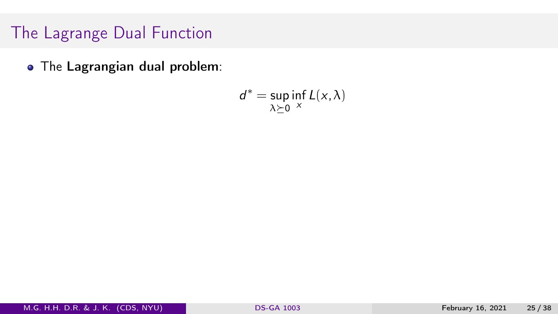The Lagrangian dual problem:

$$
d^* = \sup_{\lambda \succeq 0} \inf_{x} L(x, \lambda)
$$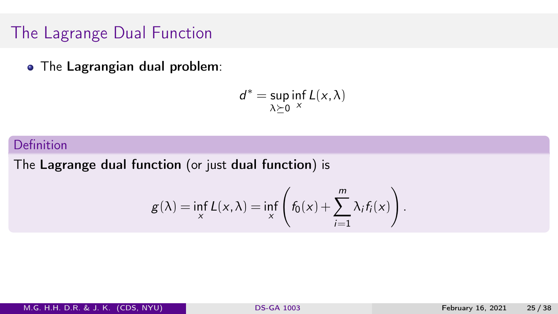• The Lagrangian dual problem:

$$
d^* = \sup_{\lambda \succeq 0} \inf_{x} L(x, \lambda)
$$

#### Definition

The Lagrange dual function (or just dual function) is

$$
g(\lambda) = \inf_{x} L(x, \lambda) = \inf_{x} \left( f_0(x) + \sum_{i=1}^{m} \lambda_i f_i(x) \right).
$$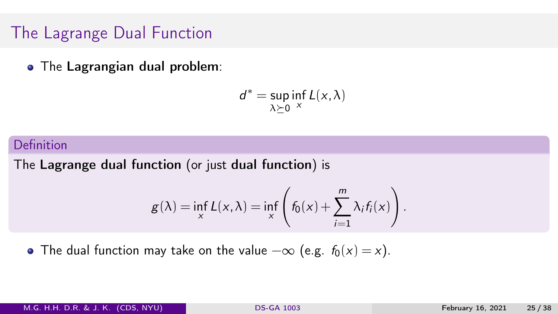• The Lagrangian dual problem:

$$
d^* = \sup_{\lambda \succeq 0} \inf_{x} L(x, \lambda)
$$

#### Definition

The Lagrange dual function (or just dual function) is

$$
g(\lambda) = \inf_{x} L(x, \lambda) = \inf_{x} \left( f_0(x) + \sum_{i=1}^{m} \lambda_i f_i(x) \right).
$$

• The dual function may take on the value  $-\infty$  (e.g.  $f_0(x) = x$ ).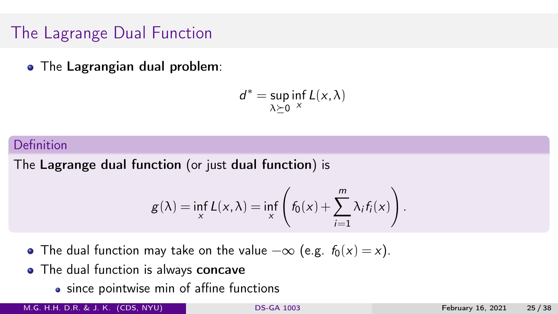• The Lagrangian dual problem:

$$
d^* = \sup_{\lambda \succeq 0} \inf_{x} L(x, \lambda)
$$

#### Definition

The Lagrange dual function (or just dual function) is

$$
g(\lambda) = \inf_{x} L(x, \lambda) = \inf_{x} \left( f_0(x) + \sum_{i=1}^{m} \lambda_i f_i(x) \right).
$$

• The dual function may take on the value  $-\infty$  (e.g.  $f_0(x) = x$ ).

- The dual function is always concave
	- since pointwise min of affine functions

M.G. H.H. D.R. & J. K. (CDS, NYU) [DS-GA 1003](#page-0-0) February 16, 2021 25 / 38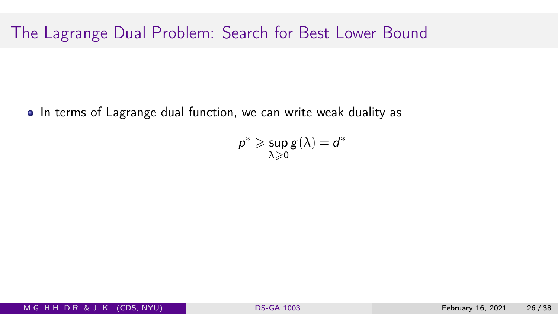• In terms of Lagrange dual function, we can write weak duality as

$$
\rho^* \geqslant \sup_{\lambda \geqslant 0} g(\lambda) = d^*
$$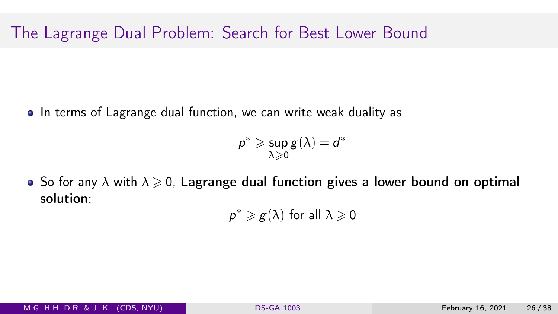• In terms of Lagrange dual function, we can write weak duality as

$$
\rho^* \geqslant \sup_{\lambda \geqslant 0} g(\lambda) = d^*
$$

• So for any  $\lambda$  with  $\lambda \geq 0$ , Lagrange dual function gives a lower bound on optimal solution:

 $p^* \geqslant g(\lambda)$  for all  $\lambda \geqslant 0$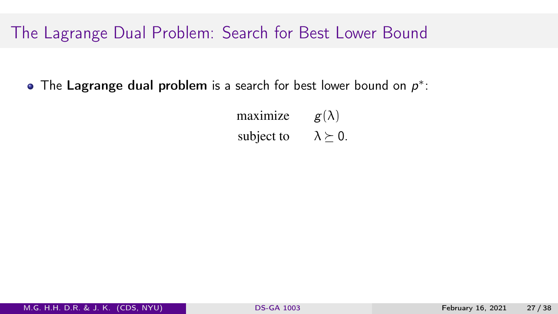The Lagrange dual problem is a search for best lower bound on  $p^*$ :

maximize  $g(\lambda)$ subject to  $\lambda \geq 0$ .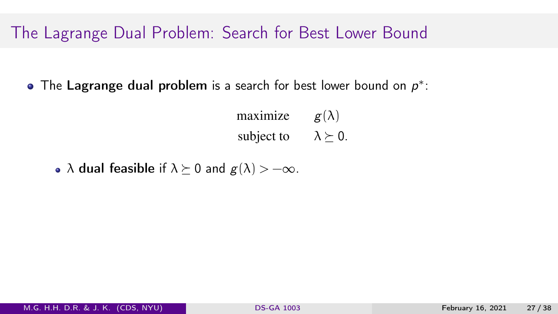The Lagrange dual problem is a search for best lower bound on  $p^*$ :

maximize  $g(\lambda)$ subject to  $\lambda \geq 0$ .

•  $\lambda$  dual feasible if  $\lambda \succeq 0$  and  $g(\lambda) > -\infty$ .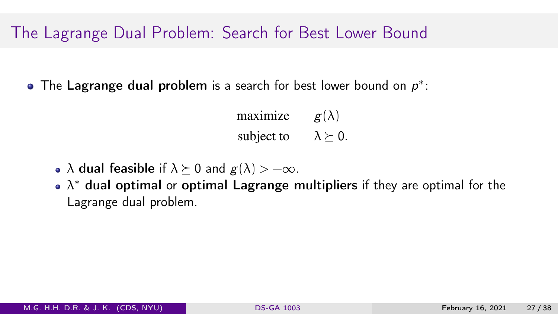The Lagrange dual problem is a search for best lower bound on  $p^*$ :

maximize  $g(\lambda)$ subject to  $\lambda \geq 0$ .

- $\lambda$  dual feasible if  $\lambda \succeq 0$  and  $g(\lambda) > -\infty$ .
- $\lambda^*$  dual optimal or <mark>optimal Lagrange multipliers</mark> if they are optimal for the Lagrange dual problem.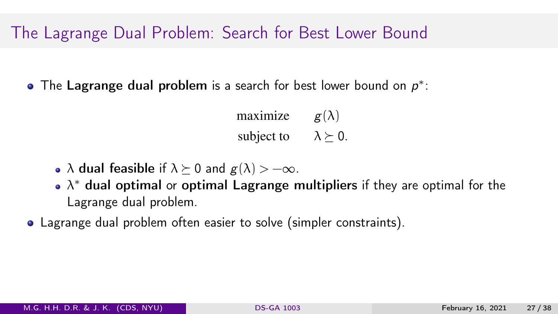The Lagrange dual problem is a search for best lower bound on  $p^*$ :

maximize  $g(\lambda)$ subject to  $\lambda \geq 0$ .

- $\lambda$  dual feasible if  $\lambda \succeq 0$  and  $g(\lambda) > -\infty$ .
- $\lambda^*$  dual optimal or <mark>optimal Lagrange multipliers</mark> if they are optimal for the Lagrange dual problem.
- Lagrange dual problem often easier to solve (simpler constraints).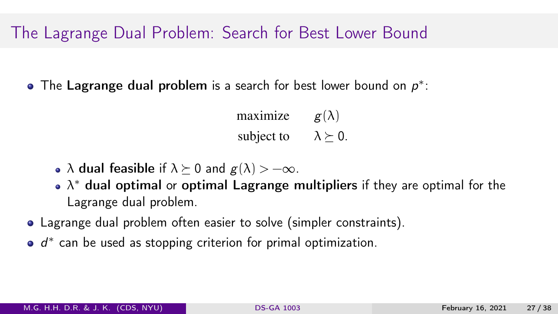The Lagrange dual problem is a search for best lower bound on  $p^*$ :

maximize  $g(\lambda)$ subject to  $\lambda \succeq 0$ .

- $\lambda$  dual feasible if  $\lambda \succeq 0$  and  $g(\lambda) > -\infty$ .
- $\lambda^*$  dual optimal or <mark>optimal Lagrange multipliers</mark> if they are optimal for the Lagrange dual problem.
- Lagrange dual problem often easier to solve (simpler constraints).
- $d^*$  can be used as stopping criterion for primal optimization.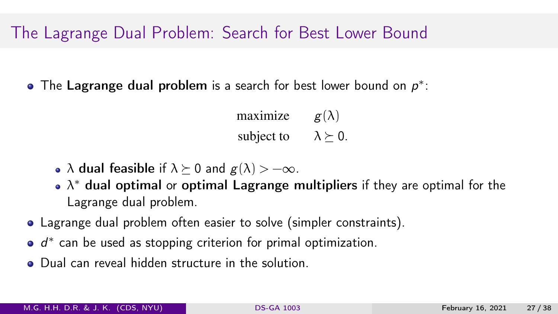The Lagrange dual problem is a search for best lower bound on  $p^*$ :

maximize  $g(\lambda)$ subject to  $\lambda \succeq 0$ .

- $\lambda$  dual feasible if  $\lambda \succeq 0$  and  $g(\lambda) > -\infty$ .
- $\lambda^*$  dual optimal or <mark>optimal Lagrange multipliers</mark> if they are optimal for the Lagrange dual problem.
- Lagrange dual problem often easier to solve (simpler constraints).
- $d^*$  can be used as stopping criterion for primal optimization.
- **•** Dual can reveal hidden structure in the solution.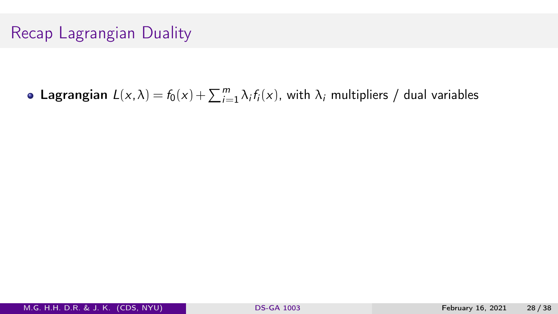**Lagrangian**  $L(x, \lambda) = f_0(x) + \sum_{i=1}^{m} \lambda_i f_i(x)$ , with  $\lambda_i$  multipliers / dual variables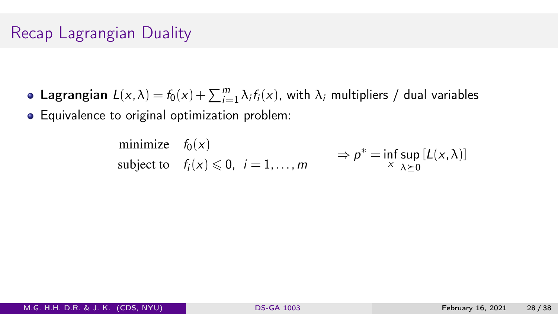- **Lagrangian**  $L(x, \lambda) = f_0(x) + \sum_{i=1}^{m} \lambda_i f_i(x)$ , with  $\lambda_i$  multipliers / dual variables
- Equivalence to original optimization problem:

minimize 
$$
f_0(x)
$$
  
subject to  $f_i(x) \le 0$ ,  $i = 1,...,m$   $\Rightarrow p^* = \inf_{x} \sup_{\lambda \succeq 0} [L(x, \lambda)]$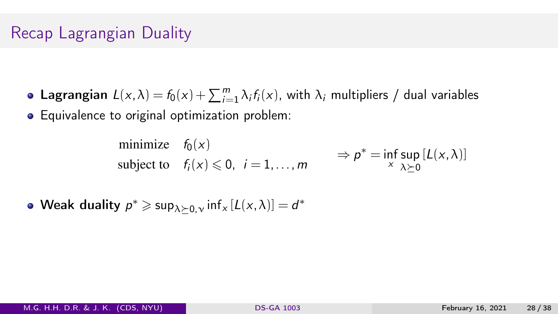- **Lagrangian**  $L(x, \lambda) = f_0(x) + \sum_{i=1}^{m} \lambda_i f_i(x)$ , with  $\lambda_i$  multipliers / dual variables
- Equivalence to original optimization problem:

minimize 
$$
f_0(x)
$$
  
subject to  $f_i(x) \le 0$ ,  $i = 1,...,m$   $\Rightarrow p^* = \inf_{x} \sup_{\lambda \succeq 0} [L(x, \lambda)]$ 

Weak duality  $p^* \geqslant \sup_{\lambda \succeq 0, \nu} \inf_{x} [L(x, \lambda)] = d^*$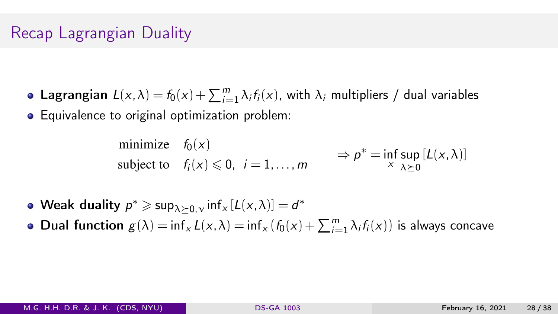- **Lagrangian**  $L(x, \lambda) = f_0(x) + \sum_{i=1}^{m} \lambda_i f_i(x)$ , with  $\lambda_i$  multipliers / dual variables
- Equivalence to original optimization problem:

minimize 
$$
f_0(x)
$$
  
subject to  $f_i(x) \le 0$ ,  $i = 1,...,m$   $\Rightarrow p^* = \inf_{x} \sup_{\lambda \succeq 0} [L(x, \lambda)]$ 

- Weak duality  $p^* \geqslant \sup_{\lambda \succeq 0, \nu} \inf_{x} [L(x, \lambda)] = d^*$
- Dual function  $g(\lambda) = \inf_x L(x, \lambda) = \inf_x (f_0(x) + \sum_{i=1}^m \lambda_i f_i(x))$  is always concave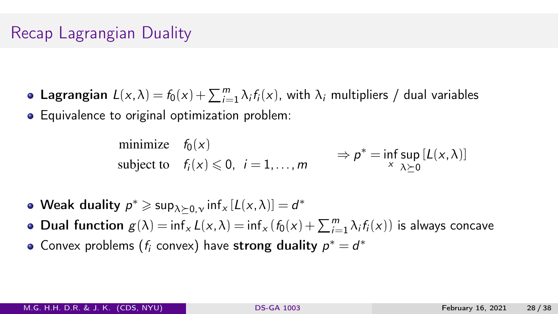- **Lagrangian**  $L(x, \lambda) = f_0(x) + \sum_{i=1}^{m} \lambda_i f_i(x)$ , with  $\lambda_i$  multipliers / dual variables
- Equivalence to original optimization problem:

minimize 
$$
f_0(x)
$$
  
subject to  $f_i(x) \le 0$ ,  $i = 1,...,m$   $\Rightarrow p^* = \inf_{x} \sup_{\lambda \succeq 0} [L(x, \lambda)]$ 

- Weak duality  $p^* \geqslant \sup_{\lambda \succeq 0, \nu} \inf_{x} [L(x, \lambda)] = d^*$
- Dual function  $g(\lambda) = \inf_x L(x, \lambda) = \inf_x (f_0(x) + \sum_{i=1}^m \lambda_i f_i(x))$  is always concave
- Convex problems  $(f_i \text{ convex})$  have strong duality  $p^* = d^*$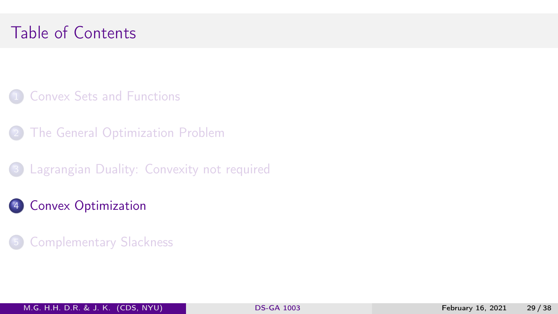# <span id="page-68-0"></span>Table of Contents

- **1 [Convex Sets and Functions](#page-12-0)**
- **[The General Optimization Problem](#page-24-0)**
- 3 [Lagrangian Duality: Convexity not required](#page-37-0)
- 4 [Convex Optimization](#page-68-0)
- **[Complementary Slackness](#page-76-0)**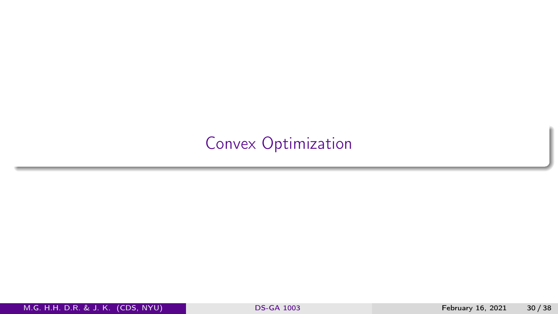### [Convex Optimization](#page-68-0)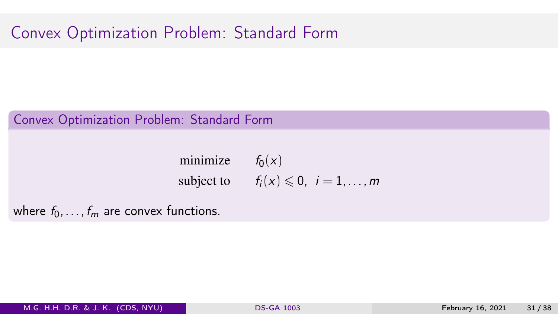# Convex Optimization Problem: Standard Form

#### Convex Optimization Problem: Standard Form

minimize  $f_0(x)$ subject to  $f_i(x) \leq 0$ ,  $i = 1, \ldots, m$ 

where  $f_0, \ldots, f_m$  are convex functions.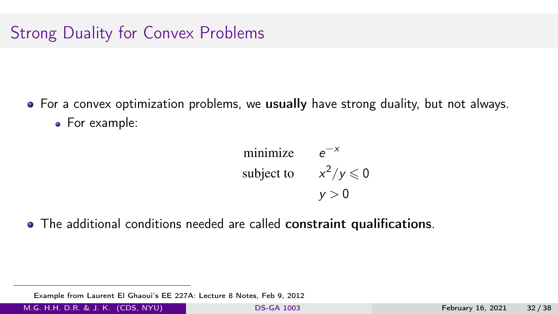# Strong Duality for Convex Problems

• For a convex optimization problems, we usually have strong duality, but not always. • For example:

minimize 
$$
e^{-x}
$$
  
subject to  $x^2/y \le 0$   
 $y > 0$ 

The additional conditions needed are called constraint qualifications.

Example from Laurent El Ghaoui's EE 227A: Lecture 8 Notes, Feb 9, 2012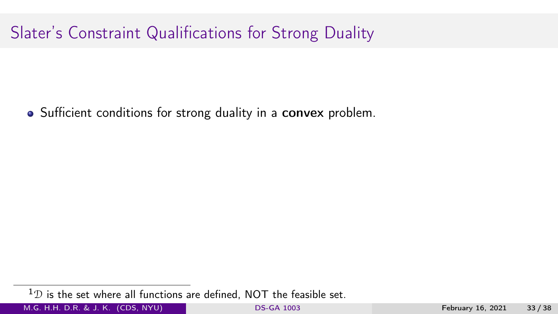• Sufficient conditions for strong duality in a convex problem.

 $1D$  is the set where all functions are defined, NOT the feasible set.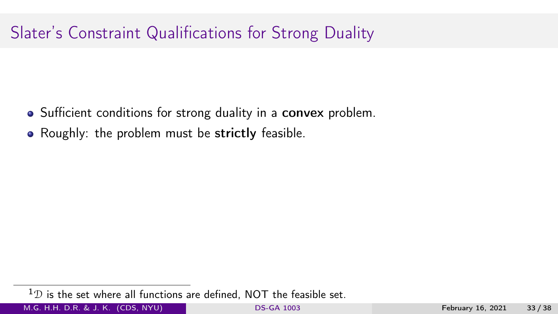- Sufficient conditions for strong duality in a convex problem.
- Roughly: the problem must be strictly feasible.

 $1D$  is the set where all functions are defined, NOT the feasible set.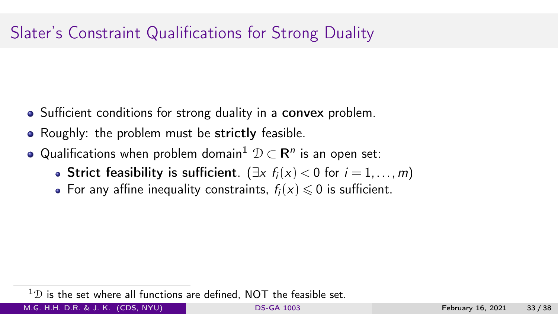- Sufficient conditions for strong duality in a convex problem.
- Roughly: the problem must be strictly feasible.
- Qualifications when problem domain $^1 \mathrel{\mathcal{D}} \subset \mathsf{R}^n$  is an open set:
	- Strict feasibility is sufficient. ( $\exists x \; f_i(x) < 0$  for  $i = 1, \ldots, m$ )
	- For any affine inequality constraints,  $f_i(x) \le 0$  is sufficient.

 $1D$  is the set where all functions are defined. NOT the feasible set.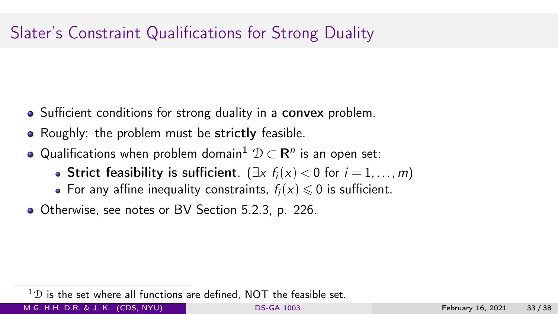- Sufficient conditions for strong duality in a convex problem.
- Roughly: the problem must be strictly feasible.
- Qualifications when problem domain $^1 \mathrel{\mathcal{D}} \subset \mathsf{R}^n$  is an open set:
	- Strict feasibility is sufficient.  $(\exists x \ f_i(x) < 0 \text{ for } i = 1, ..., m)$
	- For any affine inequality constraints,  $f_i(x) \le 0$  is sufficient.
- Otherwise, see notes or BV Section 5.2.3, p. 226.

 $1D$  is the set where all functions are defined. NOT the feasible set.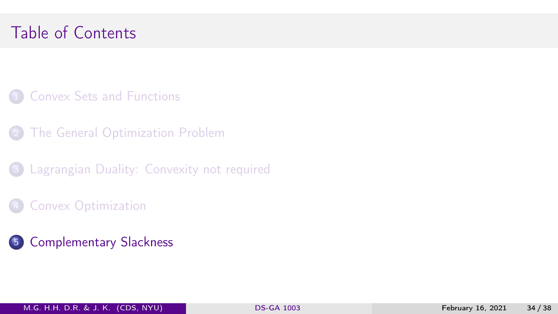# <span id="page-76-0"></span>Table of Contents

- **1 [Convex Sets and Functions](#page-12-0)**
- **[The General Optimization Problem](#page-24-0)**
- **3** [Lagrangian Duality: Convexity not required](#page-37-0)
- **[Convex Optimization](#page-68-0)**
- 5 [Complementary Slackness](#page-76-0)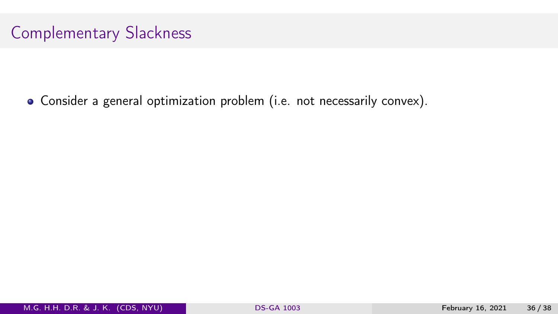Consider a general optimization problem (i.e. not necessarily convex).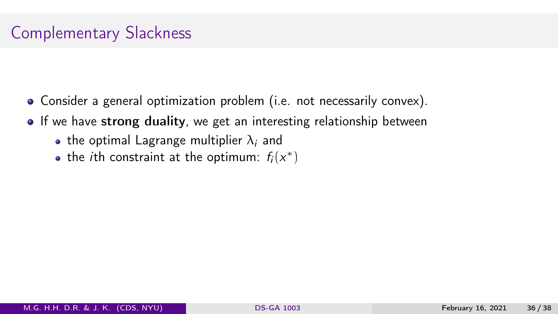- Consider a general optimization problem (i.e. not necessarily convex).
- If we have strong duality, we get an interesting relationship between
	- the optimal Lagrange multiplier  $\lambda_i$  and
	- the *i*th constraint at the optimum:  $f_i(x^*)$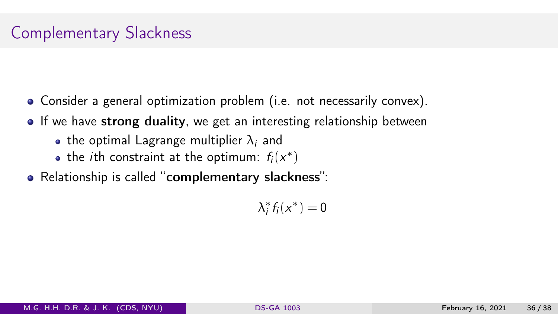- Consider a general optimization problem (i.e. not necessarily convex).
- If we have strong duality, we get an interesting relationship between
	- the optimal Lagrange multiplier  $\lambda_i$  and
	- the *i*th constraint at the optimum:  $f_i(x^*)$
- Relationship is called "complementary slackness":

 $\lambda_i^* f_i(x^*) = 0$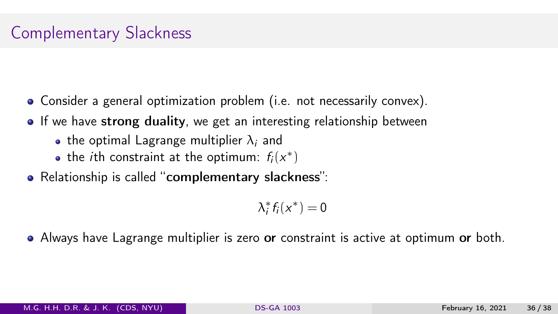- Consider a general optimization problem (i.e. not necessarily convex).
- If we have strong duality, we get an interesting relationship between
	- the optimal Lagrange multiplier  $\lambda_i$  and
	- the *i*th constraint at the optimum:  $f_i(x^*)$
- Relationship is called "complementary slackness":

 $\lambda_i^* f_i(x^*) = 0$ 

• Always have Lagrange multiplier is zero or constraint is active at optimum or both.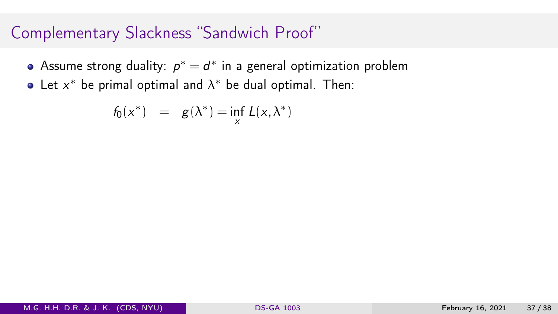- Assume strong duality:  $p^* = d^*$  in a general optimization problem
- Let  $x^*$  be primal optimal and  $\lambda^*$  be dual optimal. Then:

$$
f_0(x^*) = g(\lambda^*) = \inf_{x} L(x, \lambda^*)
$$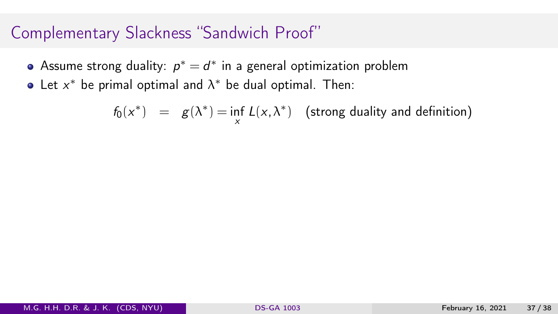- Assume strong duality:  $p^* = d^*$  in a general optimization problem
- Let  $x^*$  be primal optimal and  $\lambda^*$  be dual optimal. Then:

 $f_0(x^*) = g(\lambda^*) = \inf_{x} L(x, \lambda^*)$  (strong duality and definition)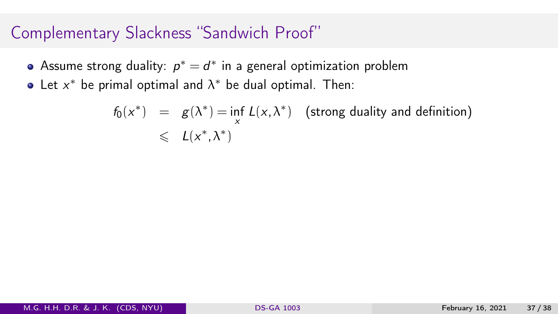- Assume strong duality:  $p^* = d^*$  in a general optimization problem
- Let  $x^*$  be primal optimal and  $\lambda^*$  be dual optimal. Then:

$$
f_0(x^*) = g(\lambda^*) = \inf_{x} L(x, \lambda^*)
$$
 (strong duality and definition)  

$$
\leq L(x^*, \lambda^*)
$$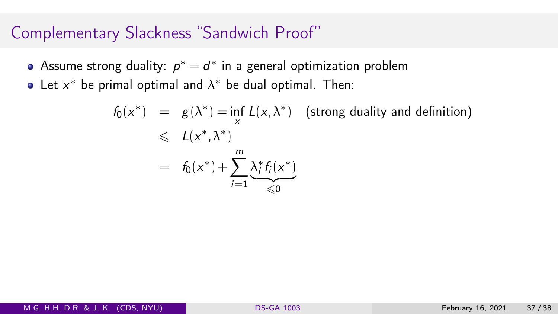- Assume strong duality:  $p^* = d^*$  in a general optimization problem
- Let  $x^*$  be primal optimal and  $\lambda^*$  be dual optimal. Then:

$$
f_0(x^*) = g(\lambda^*) = \inf_{x} L(x, \lambda^*) \quad \text{(strong duality and definition)}
$$
  
\$\leqslant L(x^\*, \lambda^\*)\$  

$$
= f_0(x^*) + \sum_{i=1}^m \underbrace{\lambda_i^* f_i(x^*)}_{\leqslant 0}
$$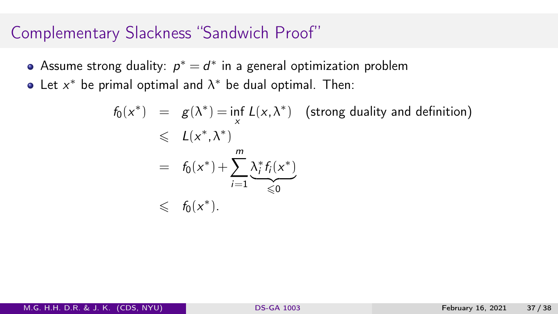- Assume strong duality:  $p^* = d^*$  in a general optimization problem
- Let  $x^*$  be primal optimal and  $\lambda^*$  be dual optimal. Then:

$$
f_0(x^*) = g(\lambda^*) = \inf_{x} L(x, \lambda^*) \quad \text{(strong duality and definition)}
$$
  
\n
$$
\leq L(x^*, \lambda^*)
$$
  
\n
$$
= f_0(x^*) + \sum_{i=1}^m \underbrace{\lambda_i^* f_i(x^*)}_{\leq 0}
$$
  
\n
$$
\leq f_0(x^*).
$$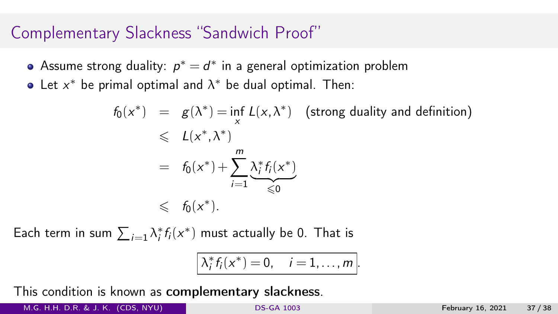- Assume strong duality:  $p^* = d^*$  in a general optimization problem
- Let  $x^*$  be primal optimal and  $\lambda^*$  be dual optimal. Then:

$$
f_0(x^*) = g(\lambda^*) = \inf_{x} L(x, \lambda^*) \quad \text{(strong duality and definition)}
$$
  
\$\leqslant L(x^\*, \lambda^\*)\$  

$$
= f_0(x^*) + \sum_{i=1}^m \underbrace{\lambda_i^* f_i(x^*)}_{\leqslant 0}
$$
  
\$\leqslant f\_0(x^\*)\$.

Each term in sum  $\sum_{i=1} \lambda_i^* f_i(x^*)$  must actually be 0. That is

$$
\left|\lambda_i^*f_i(x^*)=0,\quad i=1,\ldots,m\right|.
$$

This condition is known as complementary slackness.

M.G. H.H. D.R. & J. K. (CDS, NYU) [DS-GA 1003](#page-0-0) February 16, 2021 37 / 38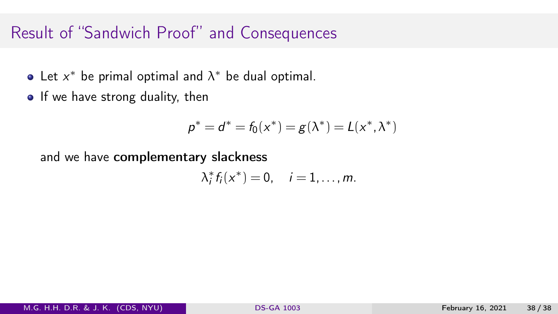# Result of "Sandwich Proof" and Consequences

- Let  $x^*$  be primal optimal and  $\lambda^*$  be dual optimal.
- If we have strong duality, then

$$
p^* = d^* = f_0(x^*) = g(\lambda^*) = L(x^*, \lambda^*)
$$

and we have complementary slackness

$$
\lambda_i^* f_i(x^*) = 0, \quad i = 1, \ldots, m.
$$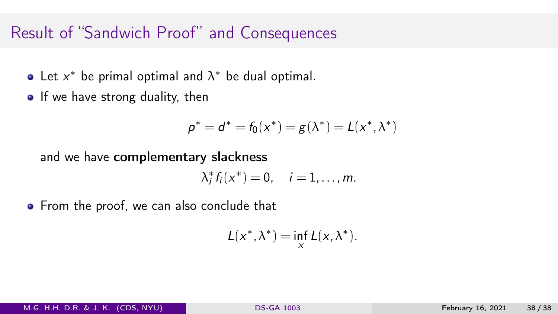## Result of "Sandwich Proof" and Consequences

- Let  $x^*$  be primal optimal and  $\lambda^*$  be dual optimal.
- If we have strong duality, then

$$
p^* = d^* = f_0(x^*) = g(\lambda^*) = L(x^*, \lambda^*)
$$

and we have complementary slackness

$$
\lambda_i^* f_i(x^*) = 0, \quad i = 1, \ldots, m.
$$

• From the proof, we can also conclude that

$$
L(x^*, \lambda^*) = \inf_x L(x, \lambda^*).
$$